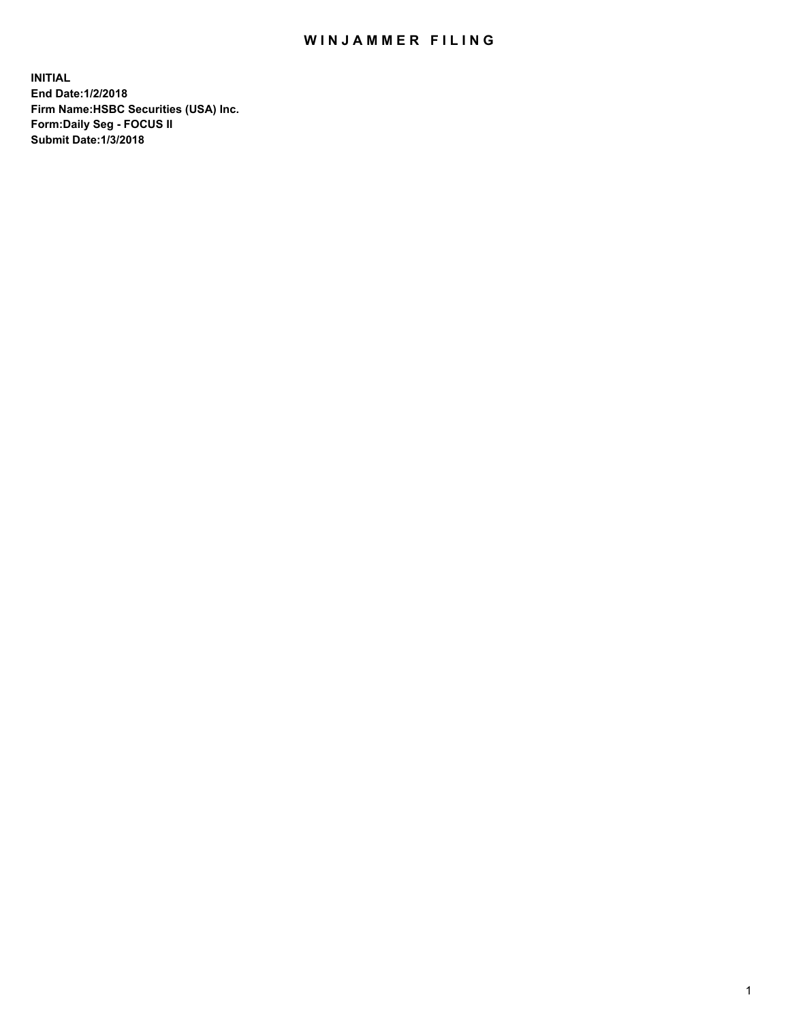## WIN JAMMER FILING

**INITIAL End Date:1/2/2018 Firm Name:HSBC Securities (USA) Inc. Form:Daily Seg - FOCUS II Submit Date:1/3/2018**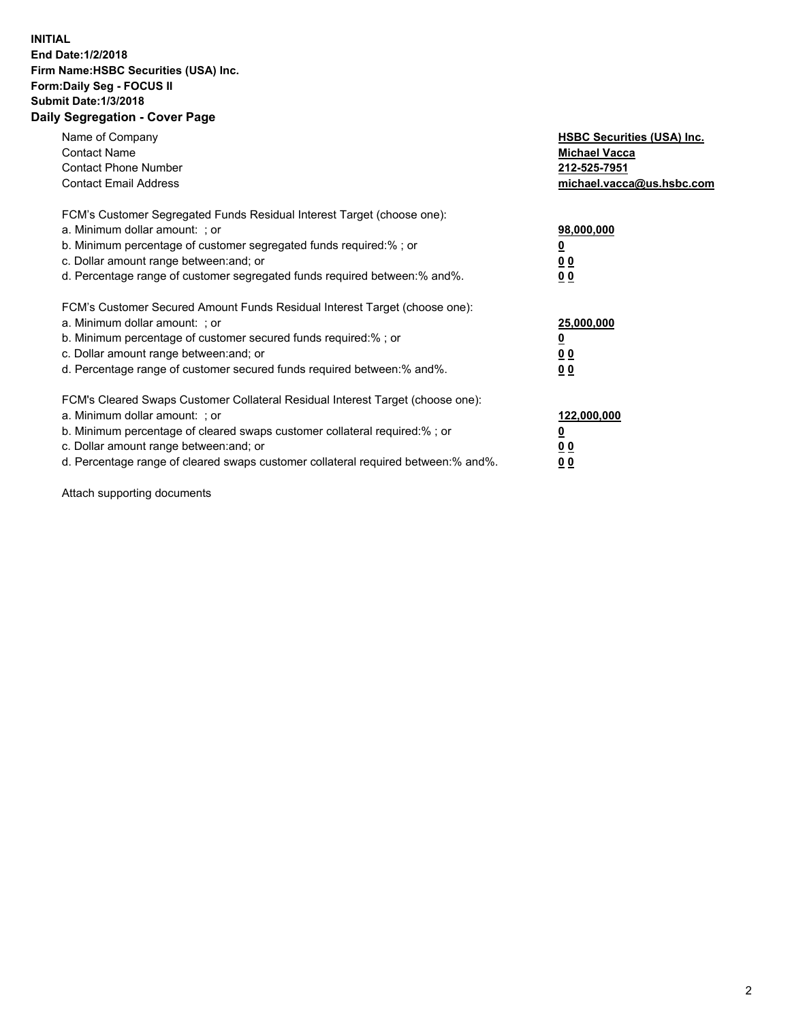## **INITIAL End Date:1/2/2018 Firm Name:HSBC Securities (USA) Inc. Form:Daily Seg - FOCUS II Submit Date:1/3/2018 Daily Segregation - Cover Page**

| Name of Company<br><b>Contact Name</b><br><b>Contact Phone Number</b><br><b>Contact Email Address</b>                                                                                                                                                                                                                         | <b>HSBC Securities (USA) Inc.</b><br><b>Michael Vacca</b><br>212-525-7951<br>michael.vacca@us.hsbc.com |
|-------------------------------------------------------------------------------------------------------------------------------------------------------------------------------------------------------------------------------------------------------------------------------------------------------------------------------|--------------------------------------------------------------------------------------------------------|
| FCM's Customer Segregated Funds Residual Interest Target (choose one):<br>a. Minimum dollar amount: ; or<br>b. Minimum percentage of customer segregated funds required:%; or<br>c. Dollar amount range between: and; or<br>d. Percentage range of customer segregated funds required between: % and %.                       | 98,000,000<br><u>0</u><br><u>00</u><br>00                                                              |
| FCM's Customer Secured Amount Funds Residual Interest Target (choose one):<br>a. Minimum dollar amount: ; or<br>b. Minimum percentage of customer secured funds required:%; or<br>c. Dollar amount range between: and; or<br>d. Percentage range of customer secured funds required between: % and %.                         | 25,000,000<br><u>0</u><br><u>00</u><br>00                                                              |
| FCM's Cleared Swaps Customer Collateral Residual Interest Target (choose one):<br>a. Minimum dollar amount: ; or<br>b. Minimum percentage of cleared swaps customer collateral required:%; or<br>c. Dollar amount range between: and; or<br>d. Percentage range of cleared swaps customer collateral required between:% and%. | 122,000,000<br><u>0</u><br><u>00</u><br><u>00</u>                                                      |

Attach supporting documents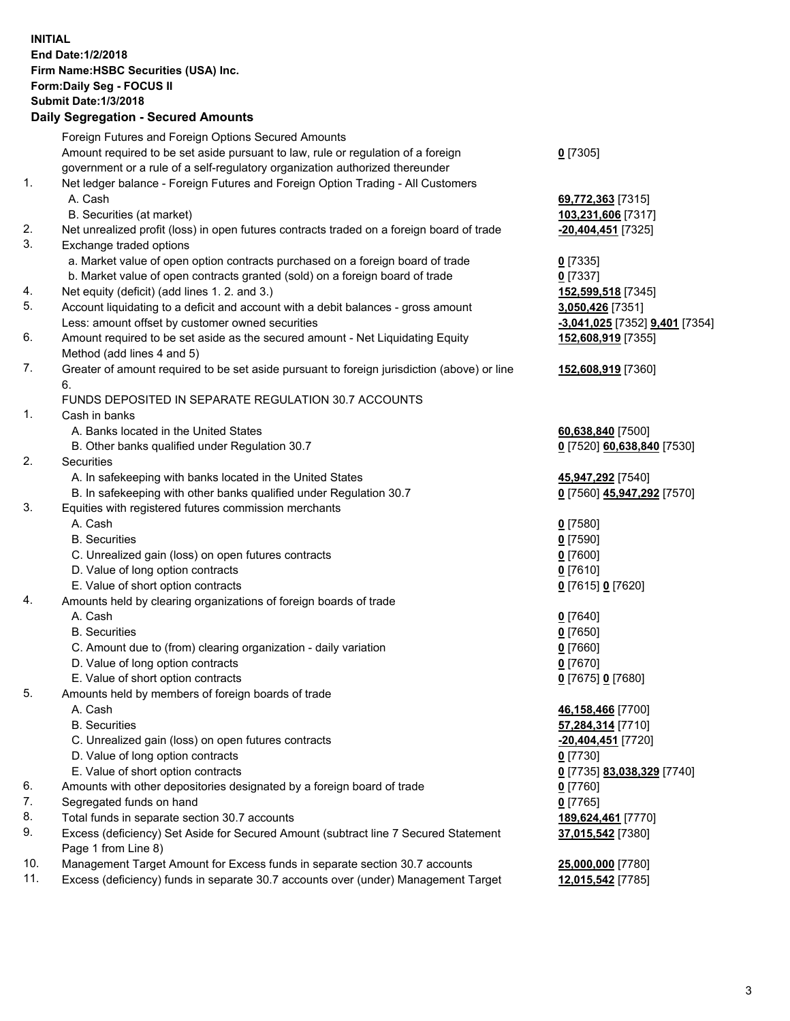**INITIAL End Date:1/2/2018 Firm Name:HSBC Securities (USA) Inc. Form:Daily Seg - FOCUS II Submit Date:1/3/2018 Daily Segregation - Secured Amounts** Foreign Futures and Foreign Options Secured Amounts Amount required to be set aside pursuant to law, rule or regulation of a foreign government or a rule of a self-regulatory organization authorized thereunder **0** [7305] 1. Net ledger balance - Foreign Futures and Foreign Option Trading - All Customers A. Cash **69,772,363** [7315] B. Securities (at market) **103,231,606** [7317] 2. Net unrealized profit (loss) in open futures contracts traded on a foreign board of trade **-20,404,451** [7325] 3. Exchange traded options a. Market value of open option contracts purchased on a foreign board of trade **0** [7335] b. Market value of open contracts granted (sold) on a foreign board of trade **0** [7337] 4. Net equity (deficit) (add lines 1. 2. and 3.) **152,599,518** [7345] 5. Account liquidating to a deficit and account with a debit balances - gross amount **3,050,426** [7351] Less: amount offset by customer owned securities **-3,041,025** [7352] **9,401** [7354] 6. Amount required to be set aside as the secured amount - Net Liquidating Equity Method (add lines 4 and 5) **152,608,919** [7355] 7. Greater of amount required to be set aside pursuant to foreign jurisdiction (above) or line 6. **152,608,919** [7360] FUNDS DEPOSITED IN SEPARATE REGULATION 30.7 ACCOUNTS 1. Cash in banks A. Banks located in the United States **60,638,840** [7500] B. Other banks qualified under Regulation 30.7 **0** [7520] **60,638,840** [7530] 2. Securities A. In safekeeping with banks located in the United States **45,947,292** [7540] B. In safekeeping with other banks qualified under Regulation 30.7 **0** [7560] **45,947,292** [7570] 3. Equities with registered futures commission merchants A. Cash **0** [7580] B. Securities **0** [7590] C. Unrealized gain (loss) on open futures contracts **0** [7600] D. Value of long option contracts **0** [7610] E. Value of short option contracts **0** [7615] **0** [7620] 4. Amounts held by clearing organizations of foreign boards of trade A. Cash **0** [7640] B. Securities **0** [7650] C. Amount due to (from) clearing organization - daily variation **0** [7660] D. Value of long option contracts **0** [7670] E. Value of short option contracts **0** [7675] **0** [7680] 5. Amounts held by members of foreign boards of trade A. Cash **46,158,466** [7700] B. Securities **57,284,314** [7710] C. Unrealized gain (loss) on open futures contracts **-20,404,451** [7720] D. Value of long option contracts **0** [7730] E. Value of short option contracts **0** [7735] **83,038,329** [7740] 6. Amounts with other depositories designated by a foreign board of trade **0** [7760] 7. Segregated funds on hand **0** [7765] 8. Total funds in separate section 30.7 accounts **189,624,461** [7770] 9. Excess (deficiency) Set Aside for Secured Amount (subtract line 7 Secured Statement Page 1 from Line 8) **37,015,542** [7380] 10. Management Target Amount for Excess funds in separate section 30.7 accounts **25,000,000** [7780] 11. Excess (deficiency) funds in separate 30.7 accounts over (under) Management Target **12,015,542** [7785]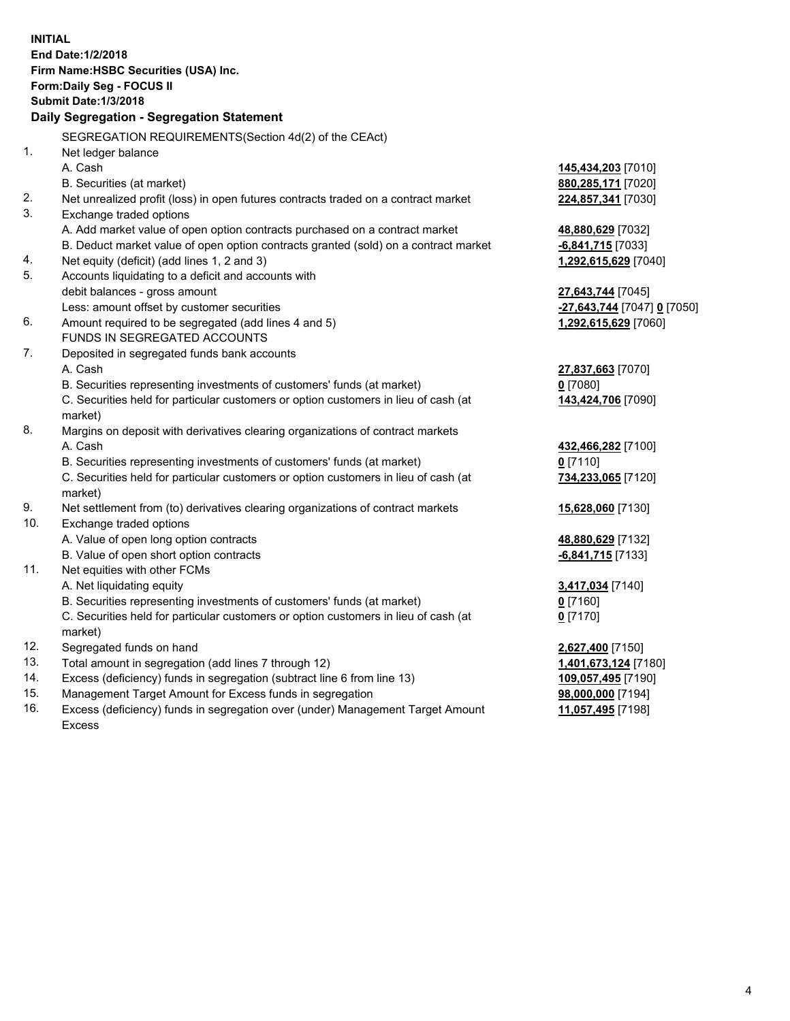| <b>INITIAL</b> | End Date: 1/2/2018<br>Firm Name: HSBC Securities (USA) Inc.<br><b>Form:Daily Seg - FOCUS II</b><br><b>Submit Date: 1/3/2018</b><br>Daily Segregation - Segregation Statement |                                           |
|----------------|------------------------------------------------------------------------------------------------------------------------------------------------------------------------------|-------------------------------------------|
|                | SEGREGATION REQUIREMENTS(Section 4d(2) of the CEAct)                                                                                                                         |                                           |
| 1.             | Net ledger balance                                                                                                                                                           |                                           |
|                | A. Cash                                                                                                                                                                      | 145,434,203 [7010]                        |
|                | B. Securities (at market)                                                                                                                                                    | 880, 285, 171 [7020]                      |
| 2.             | Net unrealized profit (loss) in open futures contracts traded on a contract market                                                                                           | 224,857,341 [7030]                        |
| 3.             | Exchange traded options                                                                                                                                                      |                                           |
|                | A. Add market value of open option contracts purchased on a contract market                                                                                                  | 48,880,629 [7032]                         |
|                | B. Deduct market value of open option contracts granted (sold) on a contract market                                                                                          | $-6,841,715$ [7033]                       |
| 4.             | Net equity (deficit) (add lines 1, 2 and 3)                                                                                                                                  | 1,292,615,629 [7040]                      |
| 5.             | Accounts liquidating to a deficit and accounts with                                                                                                                          |                                           |
|                | debit balances - gross amount                                                                                                                                                | <b>27,643,744</b> [7045]                  |
|                | Less: amount offset by customer securities                                                                                                                                   | <u>-27,643,744</u> [7047] <u>0</u> [7050] |
| 6.             | Amount required to be segregated (add lines 4 and 5)                                                                                                                         | 1,292,615,629 [7060]                      |
|                | FUNDS IN SEGREGATED ACCOUNTS                                                                                                                                                 |                                           |
| 7.             | Deposited in segregated funds bank accounts                                                                                                                                  |                                           |
|                | A. Cash                                                                                                                                                                      | 27,837,663 [7070]                         |
|                | B. Securities representing investments of customers' funds (at market)                                                                                                       | 0 [7080]                                  |
|                | C. Securities held for particular customers or option customers in lieu of cash (at<br>market)                                                                               | 143,424,706 [7090]                        |
| 8.             | Margins on deposit with derivatives clearing organizations of contract markets                                                                                               |                                           |
|                | A. Cash                                                                                                                                                                      | 432,466,282 [7100]                        |
|                | B. Securities representing investments of customers' funds (at market)                                                                                                       | $0$ [7110]                                |
|                | C. Securities held for particular customers or option customers in lieu of cash (at<br>market)                                                                               | 734,233,065 [7120]                        |
| 9.             | Net settlement from (to) derivatives clearing organizations of contract markets                                                                                              | 15,628,060 [7130]                         |
| 10.            | Exchange traded options                                                                                                                                                      |                                           |
|                | A. Value of open long option contracts                                                                                                                                       | 48,880,629 [7132]                         |
|                | B. Value of open short option contracts                                                                                                                                      | <u>-6,841,715</u> [7133]                  |
| 11.            | Net equities with other FCMs                                                                                                                                                 |                                           |
|                | A. Net liquidating equity                                                                                                                                                    | 3,417,034 [7140]                          |
|                | B. Securities representing investments of customers' funds (at market)                                                                                                       | $0$ [7160]                                |
|                | C. Securities held for particular customers or option customers in lieu of cash (at                                                                                          | $0$ [7170]                                |
|                | market)                                                                                                                                                                      |                                           |
| 12.            | Segregated funds on hand                                                                                                                                                     | 2,627,400 [7150]                          |
| 13.            | Total amount in segregation (add lines 7 through 12)                                                                                                                         | 1,401,673,124 [7180]                      |
| 14.            | Excess (deficiency) funds in segregation (subtract line 6 from line 13)                                                                                                      | 109,057,495 [7190]                        |
| 15.            | Management Target Amount for Excess funds in segregation                                                                                                                     | <u>98,000,000</u> [7194]                  |

16. Excess (deficiency) funds in segregation over (under) Management Target Amount Excess

**11,057,495** [7198]